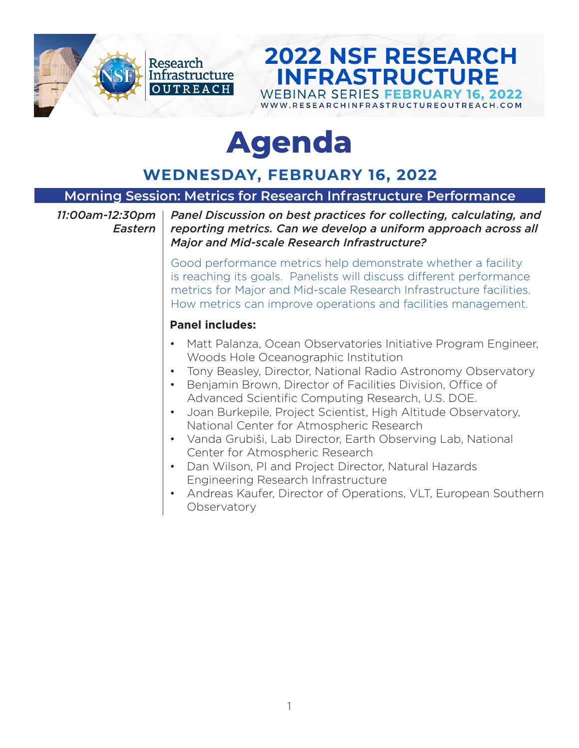

# **Agenda**

### **WEDNESDAY, FEBRUARY 16, 2022**

#### **Morning Session: Metrics for Research Infrastructure Performance**

*11:00am-12:30pm Eastern*

*Panel Discussion on best practices for collecting, calculating, and reporting metrics. Can we develop a uniform approach across all Major and Mid-scale Research Infrastructure?* 

**2022 NSF RESEARCH** 

**INFRASTRUCTURE** 

**WEBINAR SERIES FEBRUARY 16. 2022** WWW.RESEARCHINFRASTRUCTUREOUTREACH.COM

Good performance metrics help demonstrate whether a facility is reaching its goals. Panelists will discuss different performance metrics for Major and Mid-scale Research Infrastructure facilities. How metrics can improve operations and facilities management.

#### **Panel includes:**

- Matt Palanza, Ocean Observatories Initiative Program Engineer, Woods Hole Oceanographic Institution
- Tony Beasley, Director, National Radio Astronomy Observatory
- Benjamin Brown, Director of Facilities Division, Office of Advanced Scientific Computing Research, U.S. DOE.
- Joan Burkepile, Project Scientist, High Altitude Observatory, National Center for Atmospheric Research
- Vanda Grubiši, Lab Director, Earth Observing Lab, National Center for Atmospheric Research
- Dan Wilson, PI and Project Director, Natural Hazards Engineering Research Infrastructure
- Andreas Kaufer, Director of Operations, VLT, European Southern **Observatory**